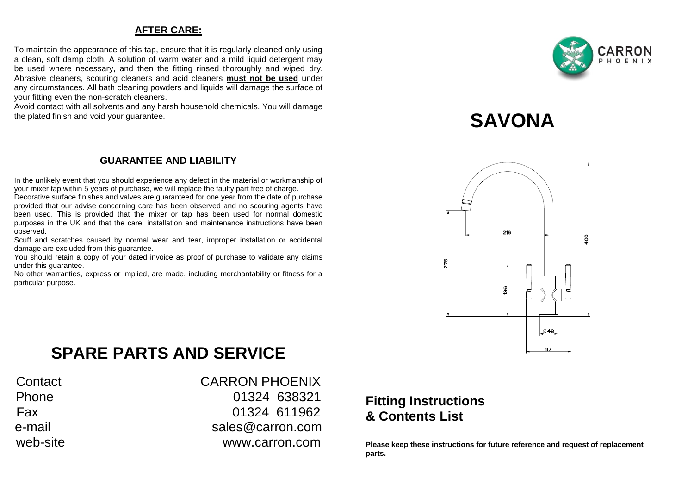## **AFTER CARE:**

To maintain the appearance of this tap, ensure that it is regularly cleaned only using a clean, soft damp cloth. A solution of warm water and a mild liquid detergent may be used where necessary, and then the fitting rinsed thoroughly and wiped dry. Abrasive cleaners, scouring cleaners and acid cleaners **must not be used** under any circumstances. All bath cleaning powders and liquids will damage the surface of your fitting even the non-scratch cleaners.

Avoid contact with all solvents and any harsh household chemicals. You will damage the plated finish and void your guarantee.

## **GUARANTEE AND LIABILITY**

In the unlikely event that you should experience any defect in the material or workmanship of your mixer tap within 5 years of purchase, we will replace the faulty part free of charge.

Decorative surface finishes and valves are guaranteed for one year from the date of purchase provided that our advise concerning care has been observed and no scouring agents have been used. This is provided that the mixer or tap has been used for normal domestic purposes in the UK and that the care, installation and maintenance instructions have been observed.

Scuff and scratches caused by normal wear and tear, improper installation or accidental damage are excluded from this guarantee.

You should retain a copy of your dated invoice as proof of purchase to validate any claims under this guarantee.

No other warranties, express or implied, are made, including merchantability or fitness for a particular purpose.



# **SAVONA**



## **SPARE PARTS AND SERVICE**

Contact CARRON PHOENIX Phone 01324 638321 Fax 01324 611962 e-mail sales@carron.com web-site www.carron.com

## **Fitting Instructions & Contents List**

**Please keep these instructions for future reference and request of replacement parts.**